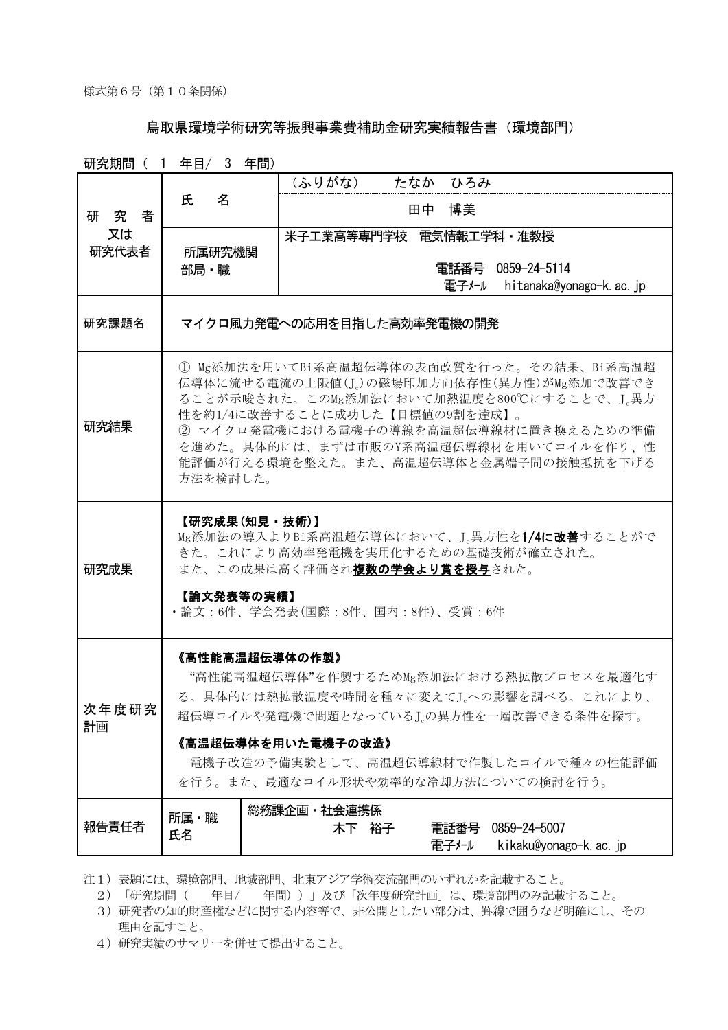## 鳥取県環境学術研究等振興事業費補助金研究実績報告書(環境部門)

研究期間( 1 年目/ 3 年間) 研究者 *<sup>E</sup>* 又は 研究代表者 氏 名 (ふりがな) たなか ひろみ 田中 博美 所属研究機関 部局・職 米子工業高等専門学校 電気情報工学科・准教授 電話番号 0859-24-5114 電子メール hitanaka@yonago-k.ac.jp 研究課題名 | マイクロ風力発雷への応用を目指した高効率発雷機の開発 研究結果 ① Mg添加法を用いてBi系高温超伝導体の表面改質を行った。その結果、Bi系高温超 伝導体に流せる電流の上限値(Jc)の磁場印加方向依存性(異方性)がMg添加で改善でき ることが示唆された。このMg添加法において加熱温度を800℃にすることで、J.異方 性を約1/4に改善することに成功した【目標値の9割を達成】。 ② マイクロ発電機における電機子の導線を高温超伝導線材に置き換えるための準備 を進めた。具体的には、まずは市販のY系高温超伝導線材を用いてコイルを作り、性 能評価が行える環境を整えた。また、高温超伝導体と金属端子間の接触抵抗を下げる 方法を検討した。 研究成果 【研究成果(知見・技術)】 Mg添加法の導入よりBi系高温超伝導体において、Je異方性を1/4に改善することがで きた。これにより高効率発電機を実用化するための基礎技術が確立された。 また、この成果は高く評価され複数の学会より賞を授与された。 【論文発表等の実績】 ・論文:6件、学会発表(国際:8件、国内:8件)、受賞:6件 次年度研究 計画 《高性能高温超伝導体の作製》 "高性能高温超伝導体"を作製するためMg添加法における熱拡散プロセスを最適化す る。具体的には熱拡散温度や時間を種々に変えてJcへの影響を調べる。これにより、 超伝導コイルや発電機で問題となっているJcの異方性を一層改善できる条件を探す。 《高温超伝導体を用いた電機子の改造》 電機子改造の予備実験として、高温超伝導線材で作製したコイルで種々の性能評価 を行う。また、最適なコイル形状や効率的な冷却方法についての検討を行う。 報告責任者 所属・職 氏名 総務課企画・社会連携係 木下 裕子 電話番号 0859-24-5007 電子メール kikaku@yonago-k.ac.jp

注1)表題には、環境部門、地域部門、北東アジア学術交流部門のいずれかを記載すること。

- 2)「研究期間( 年目/ 年間))」及び「次年度研究計画」は、環境部門のみ記載すること。
- 3)研究者の知的財産権などに関する内容等で、非公開としたい部分は、罫線で囲うなど明確にし、その 理由を記すこと。
- 4)研究実績のサマリーを併せて提出すること。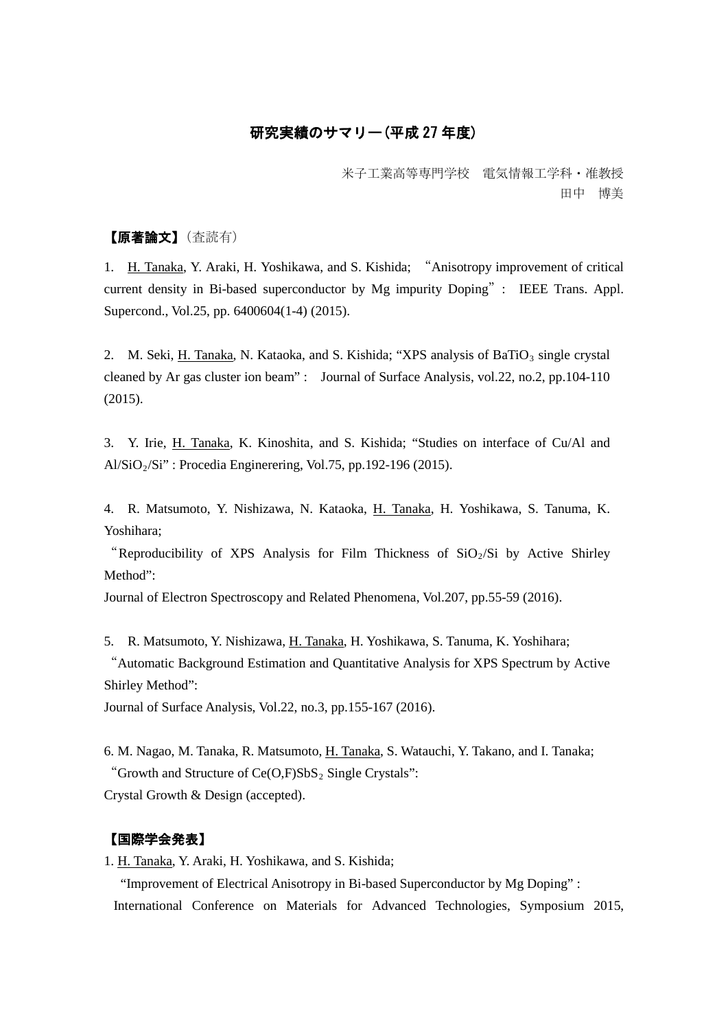## 研究実績のサマリー(平成 27 年度)

米子工業高等専門学校 電気情報工学科・准教授 田中 博美

## 【原著論文】(査読有)

1. H. Tanaka, Y. Araki, H. Yoshikawa, and S. Kishida; "Anisotropy improvement of critical current density in Bi-based superconductor by Mg impurity Doping": IEEE Trans. Appl. Supercond., Vol.25, pp. 6400604(1-4) (2015).

2. M. Seki, H. Tanaka, N. Kataoka, and S. Kishida; "XPS analysis of BaTiO<sub>3</sub> single crystal cleaned by Ar gas cluster ion beam" : Journal of Surface Analysis, vol.22, no.2, pp.104-110 (2015).

3. Y. Irie, H. Tanaka, K. Kinoshita, and S. Kishida; "Studies on interface of Cu/Al and  $A\frac{1}{\text{SiO}_2}{\text{Si}^3}$ : Procedia Enginerering, Vol.75, pp. 192-196 (2015).

4. R. Matsumoto, Y. Nishizawa, N. Kataoka, H. Tanaka, H. Yoshikawa, S. Tanuma, K. Yoshihara;

"Reproducibility of XPS Analysis for Film Thickness of  $SiO<sub>2</sub>/Si$  by Active Shirley Method":

Journal of Electron Spectroscopy and Related Phenomena, Vol.207, pp.55-59 (2016).

5. R. Matsumoto, Y. Nishizawa, H. Tanaka, H. Yoshikawa, S. Tanuma, K. Yoshihara;

"Automatic Background Estimation and Quantitative Analysis for XPS Spectrum by Active Shirley Method":

Journal of Surface Analysis, Vol.22, no.3, pp.155-167 (2016).

6. M. Nagao, M. Tanaka, R. Matsumoto, H. Tanaka, S. Watauchi, Y. Takano, and I. Tanaka; "Growth and Structure of  $Ce(O,F)SbS<sub>2</sub>$  Single Crystals": Crystal Growth & Design (accepted).

# 【国際学会発表】

1. H. Tanaka, Y. Araki, H. Yoshikawa, and S. Kishida;

 "Improvement of Electrical Anisotropy in Bi-based Superconductor by Mg Doping" : International Conference on Materials for Advanced Technologies, Symposium 2015,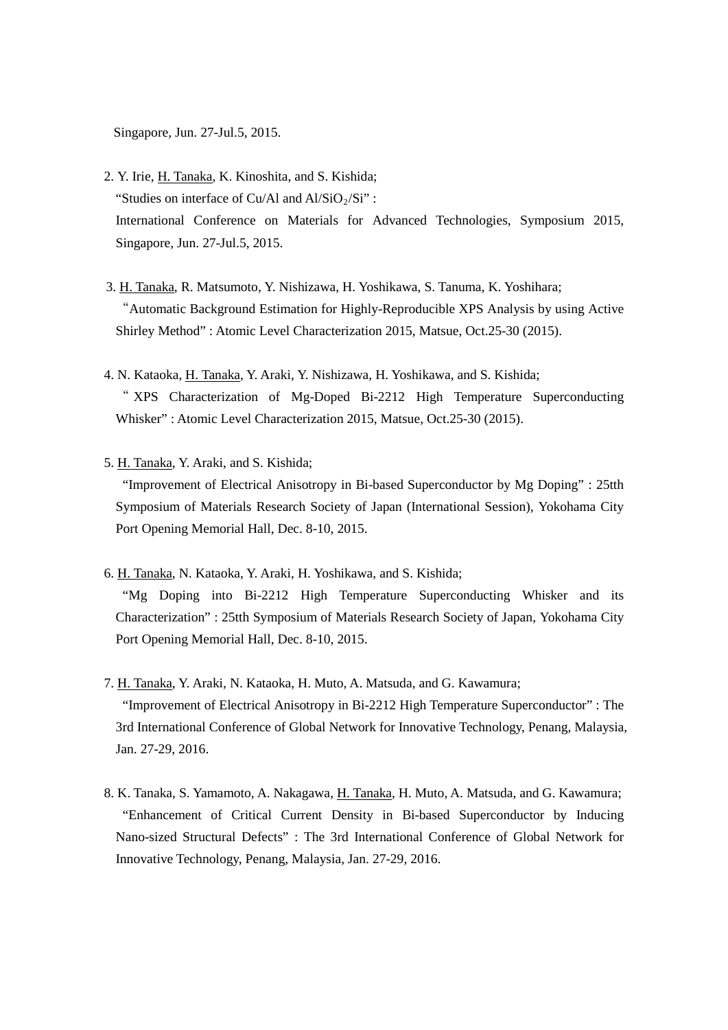Singapore, Jun. 27-Jul.5, 2015.

- 2. Y. Irie, H. Tanaka, K. Kinoshita, and S. Kishida; "Studies on interface of Cu/Al and  $Al/SiO<sub>2</sub>/Si"$ : International Conference on Materials for Advanced Technologies, Symposium 2015, Singapore, Jun. 27-Jul.5, 2015.
- 3. H. Tanaka, R. Matsumoto, Y. Nishizawa, H. Yoshikawa, S. Tanuma, K. Yoshihara; "Automatic Background Estimation for Highly-Reproducible XPS Analysis by using Active Shirley Method" : Atomic Level Characterization 2015, Matsue, Oct.25-30 (2015).
- 4. N. Kataoka, H. Tanaka, Y. Araki, Y. Nishizawa, H. Yoshikawa, and S. Kishida; " XPS Characterization of Mg-Doped Bi-2212 High Temperature Superconducting Whisker" : Atomic Level Characterization 2015, Matsue, Oct.25-30 (2015).
- 5. H. Tanaka, Y. Araki, and S. Kishida;

"Improvement of Electrical Anisotropy in Bi-based Superconductor by Mg Doping" : 25tth Symposium of Materials Research Society of Japan (International Session), Yokohama City Port Opening Memorial Hall, Dec. 8-10, 2015.

- 6. H. Tanaka, N. Kataoka, Y. Araki, H. Yoshikawa, and S. Kishida; "Mg Doping into Bi-2212 High Temperature Superconducting Whisker and its Characterization" : 25tth Symposium of Materials Research Society of Japan, Yokohama City Port Opening Memorial Hall, Dec. 8-10, 2015.
- 7. H. Tanaka, Y. Araki, N. Kataoka, H. Muto, A. Matsuda, and G. Kawamura; "Improvement of Electrical Anisotropy in Bi-2212 High Temperature Superconductor" : The 3rd International Conference of Global Network for Innovative Technology, Penang, Malaysia, Jan. 27-29, 2016.
- 8. K. Tanaka, S. Yamamoto, A. Nakagawa, H. Tanaka, H. Muto, A. Matsuda, and G. Kawamura; "Enhancement of Critical Current Density in Bi-based Superconductor by Inducing Nano-sized Structural Defects" : The 3rd International Conference of Global Network for Innovative Technology, Penang, Malaysia, Jan. 27-29, 2016.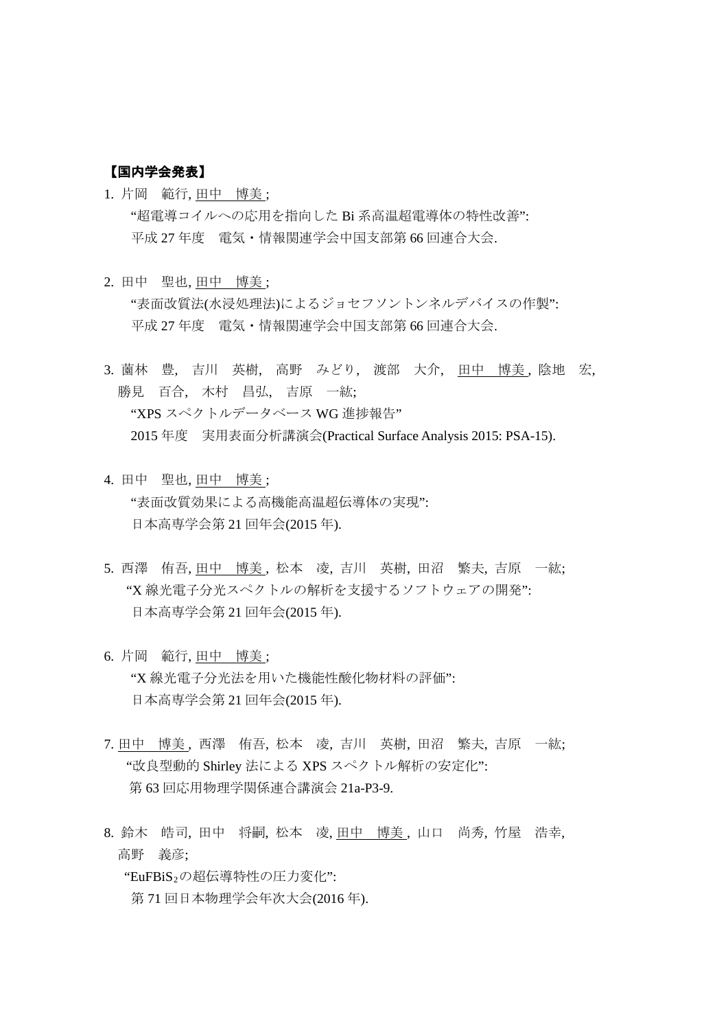#### 【国内学会発表】

- 1. 片岡 範行, 田中 博美 ; "超電導コイルへの応用を指向した Bi 系高温超電導体の特性改善": 平成 27 年度 電気・情報関連学会中国支部第 66 回連合大会.
- 2. 田中 聖也, 田中 博美 ; "表面改質法(水浸処理法)によるジョセフソントンネルデバイスの作製": 平成 27 年度 電気・情報関連学会中国支部第 66 回連合大会.
- 3. 蘭林 豊, 吉川 英樹, 高野 みどり, 渡部 大介, 田中 博美, 陰地 宏, 勝見 百合, 木村 昌弘, 吉原 一紘; "XPS スペクトルデータベース WG 進捗報告" 2015 年度 実用表面分析講演会(Practical Surface Analysis 2015: PSA-15).
- 4. 田中 聖也, 田中 博美 ; "表面改質効果による高機能高温超伝導体の実現": 日本高専学会第 21 回年会(2015 年).
- 5. 西澤 侑吾, 田中 博美, 松本 凌, 吉川 英樹, 田沼 繁夫, 吉原 一紘; "X 線光電子分光スペクトルの解析を支援するソフトウェアの開発": 日本高専学会第 21 回年会(2015 年).
- 6. 片岡 範行, 田中 博美 ; "X 線光電子分光法を用いた機能性酸化物材料の評価": 日本高専学会第 21 回年会(2015 年).
- 7. 田中 博美 , 西澤 侑吾, 松本 凌, 吉川 英樹, 田沼 繁夫, 吉原 一紘; "改良型動的 Shirley 法による XPS スペクトル解析の安定化": 第 63 回応用物理学関係連合講演会 21a-P3-9.
- 8. 鈴木 皓司, 田中 将嗣, 松本 凌, 田中 博美, 山口 尚秀, 竹屋 浩幸, 高野 義彦;

"EuFBiS<sub>2</sub>の超伝導特性の圧力変化": 第 71 回日本物理学会年次大会(2016 年).